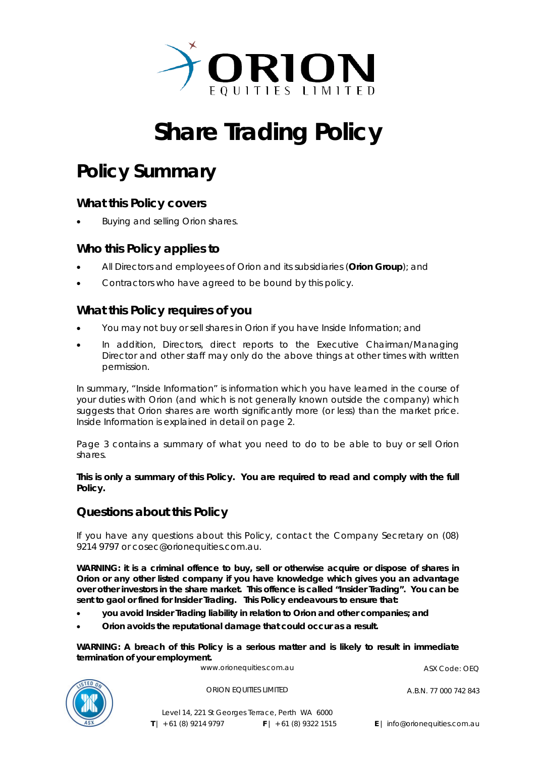

# **Share Trading Policy**

## **Policy Summary**

## **What this Policy covers**

Buying and selling Orion shares.

## **Who this Policy applies to**

- All Directors and employees of Orion and its subsidiaries (*Orion Group*); and
- Contractors who have agreed to be bound by this policy.

## **What this Policy requires of you**

- You may not buy or sell shares in Orion if you have Inside Information; and
- In addition, Directors, direct reports to the Executive Chairman/Managing Director and other staff may only do the above things at other times with written permission.

In summary, "Inside Information" is information which you have learned in the course of your duties with Orion (and which is not generally known outside the company) which suggests that Orion shares are worth significantly more (or less) than the market price. Inside Information is explained in detail on page 2.

Page 3 contains a summary of what you need to do to be able to buy or sell Orion shares.

#### **This is only a summary of this Policy. You are required to read and comply with the full Policy.**

## **Questions about this Policy**

If you have any questions about this Policy, contact the Company Secretary on (08) 9214 9797 or cosec@orionequities.com.au.

**WARNING: it is a criminal offence to buy, sell or otherwise acquire or dispose of shares in Orion or any other listed company if you have knowledge which gives you an advantage over other investors in the share market. This offence is called "Insider Trading". You can be sent to gaol or fined for Insider Trading. This Policy endeavours to ensure that:** 

- **you avoid Insider Trading liability in relation to Orion and other companies; and**
- **Orion avoids the reputational damage that could occur as a result.**

**WARNING: A breach of this Policy is a serious matter and is likely to result in immediate termination of your employment.** 



www.orionequities.com.au ASX Code: OEQ

ORION EQUITIES LIMITED A.B.N. 77 000 742 843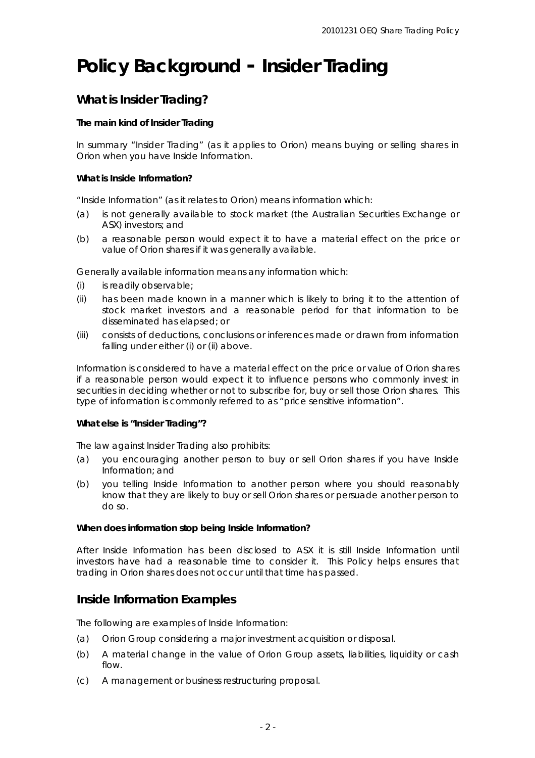## **Policy Background - Insider Trading**

## **What is Insider Trading?**

#### **The main kind of Insider Trading**

In summary "Insider Trading" (as it applies to Orion) means buying or selling shares in Orion when you have Inside Information.

#### **What is Inside Information?**

"Inside Information" (as it relates to Orion) means information which:

- (a) is not generally available to stock market (the Australian Securities Exchange or ASX) investors; and
- (b) a reasonable person would expect it to have a material effect on the price or value of Orion shares if it was generally available.

*Generally available* information means any information which:

- (i) is readily observable;
- (ii) has been made known in a manner which is likely to bring it to the attention of stock market investors and a reasonable period for that information to be disseminated has elapsed; or
- (iii) consists of deductions, conclusions or inferences made or drawn from information falling under either (i) or (ii) above.

Information is considered to have a *material effect* on the price or value of Orion shares if a reasonable person would expect it to influence persons who commonly invest in securities in deciding whether or not to subscribe for, buy or sell those Orion shares. This type of information is commonly referred to as "price sensitive information".

#### **What else is "Insider Trading"?**

The law against Insider Trading also prohibits:

- (a) you encouraging another person to buy or sell Orion shares if you have Inside Information; and
- (b) you telling Inside Information to another person where you should reasonably know that they are likely to buy or sell Orion shares or persuade another person to do so.

#### **When does information stop being Inside Information?**

After Inside Information has been disclosed to ASX it is still Inside Information until investors have had a reasonable time to consider it. This Policy helps ensures that trading in Orion shares does not occur until that time has passed.

## **Inside Information Examples**

The following are examples of Inside Information:

- (a) Orion Group considering a major investment acquisition or disposal.
- (b) A material change in the value of Orion Group assets, liabilities, liquidity or cash flow.
- (c) A management or business restructuring proposal.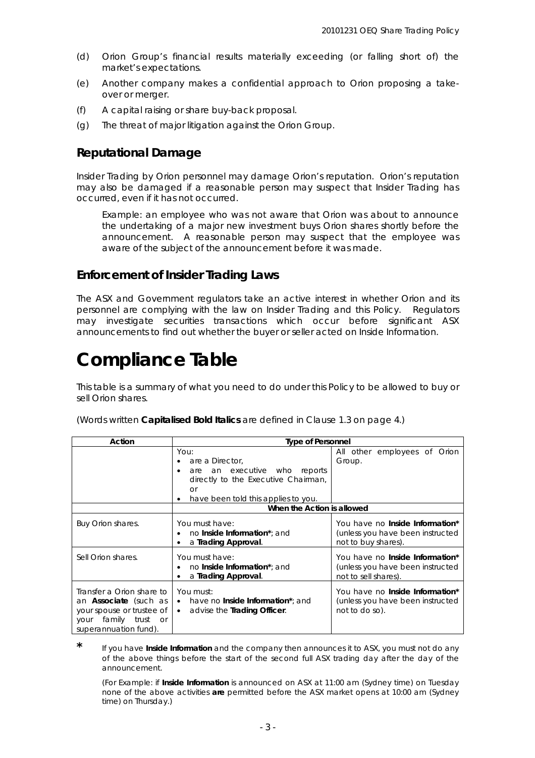- (d) Orion Group's financial results materially exceeding (or falling short of) the market's expectations.
- (e) Another company makes a confidential approach to Orion proposing a takeover or merger.
- (f) A capital raising or share buy-back proposal.
- (g) The threat of major litigation against the Orion Group.

## **Reputational Damage**

Insider Trading by Orion personnel may damage Orion's reputation. Orion's reputation may also be damaged if a reasonable person may suspect that Insider Trading has occurred, even if it has not occurred.

*Example: an employee who was not aware that Orion was about to announce the undertaking of a major new investment buys Orion shares shortly before the announcement. A reasonable person may suspect that the employee was aware of the subject of the announcement before it was made.*

## **Enforcement of Insider Trading Laws**

The ASX and Government regulators take an active interest in whether Orion and its personnel are complying with the law on Insider Trading and this Policy. Regulators may investigate securities transactions which occur before significant ASX announcements to find out whether the buyer or seller acted on Inside Information.

## **Compliance Table**

This table is a summary of what you need to do under this Policy to be allowed to buy or sell Orion shares.

(Words written *Capitalised Bold Italics* are defined in Clause 1.3 on page 4.)

| Action                                                                                                                                        | <b>Type of Personnel</b>                                                                                                                                      |                                                                                                    |
|-----------------------------------------------------------------------------------------------------------------------------------------------|---------------------------------------------------------------------------------------------------------------------------------------------------------------|----------------------------------------------------------------------------------------------------|
|                                                                                                                                               | You:<br>are a Director,<br>are an executive who reports<br>$\bullet$<br>directly to the Executive Chairman,<br>or<br>have been told this applies to you.<br>٠ | All other employees of Orion<br>Group.                                                             |
|                                                                                                                                               | When the Action is allowed                                                                                                                                    |                                                                                                    |
| Buy Orion shares.                                                                                                                             | You must have:<br>no <i>Inside Information*</i> and<br>a Trading Approval.<br>٠                                                                               | You have no <i>Inside Information*</i><br>(unless you have been instructed<br>not to buy shares).  |
| Sell Orion shares.                                                                                                                            | You must have:<br>no <i>Inside Information*</i> and<br>a <i>Trading Approval.</i>                                                                             | You have no <i>Inside Information*</i><br>(unless you have been instructed<br>not to sell shares). |
| Transfer a Orion share to<br>an <i>Associate</i> (such as<br>your spouse or trustee of<br>family trust<br>your<br>or<br>superannuation fund). | You must:<br>• have no <i>Inside Information*</i> and<br>• advise the <i>Trading Officer</i> .                                                                | You have no <i>Inside Information*</i><br>(unless you have been instructed<br>not to do so).       |

**\*** If you have *Inside Information* and the company then announces it to ASX, you must not do any of the above things before the start of the second full ASX trading day after the day of the announcement.

*(For Example: if Inside Information is announced on ASX at 11:00 am (Sydney time) on Tuesday none of the above activities are permitted before the ASX market opens at 10:00 am (Sydney time) on Thursday.)*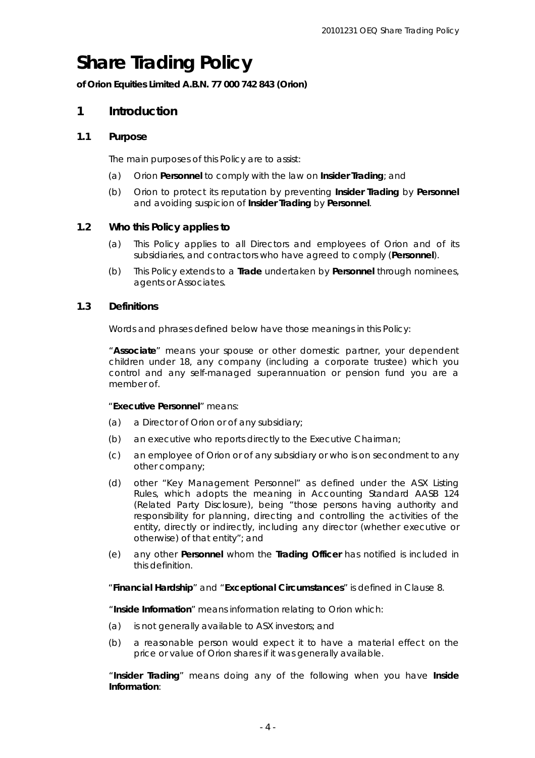## **Share Trading Policy**

**of Orion Equities Limited A.B.N. 77 000 742 843 (Orion)** 

### **1 Introduction**

#### **1.1 Purpose**

The main purposes of this Policy are to assist:

- (a) Orion *Personnel* to comply with the law on *Insider Trading*; and
- (b) Orion to protect its reputation by preventing *Insider Trading* by *Personnel* and avoiding suspicion of *Insider Trading* by *Personnel*.

#### **1.2 Who this Policy applies to**

- (a) This Policy applies to all Directors and employees of Orion and of its subsidiaries, and contractors who have agreed to comply (*Personnel*).
- (b) This Policy extends to a *Trade* undertaken by *Personnel* through nominees, agents or Associates.

#### **1.3 Definitions**

Words and phrases defined below have those meanings in this Policy:

"*Associate*" means your spouse or other domestic partner, your dependent children under 18, any company (including a corporate trustee) which you control and any self-managed superannuation or pension fund you are a member of.

#### "*Executive Personnel*" means:

- (a) a Director of Orion or of any subsidiary;
- (b) an executive who reports directly to the Executive Chairman;
- (c) an employee of Orion or of any subsidiary or who is on secondment to any other company;
- (d) other "Key Management Personnel" as defined under the ASX Listing Rules, which adopts the meaning in Accounting Standard AASB 124 (Related Party Disclosure), being "those persons having authority and responsibility for planning, directing and controlling the activities of the entity, directly or indirectly, including any director (whether executive or otherwise) of that entity"; and
- (e) any other *Personnel* whom the *Trading Officer* has notified is included in this definition.

"*Financial Hardship*" and "*Exceptional Circumstances*" is defined in Clause 8.

"*Inside Information*" means information relating to Orion which:

- (a) is not generally available to ASX investors; and
- (b) a reasonable person would expect it to have a material effect on the price or value of Orion shares if it was generally available.

"*Insider Trading*" means doing any of the following when you have *Inside Information*: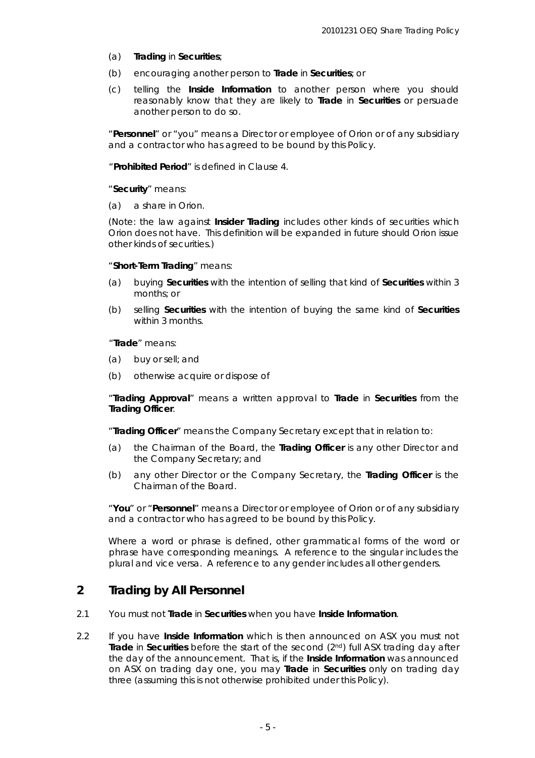- (a) *Trading* in *Securities*;
- (b) encouraging another person to *Trade* in *Securities*; or
- (c) telling the *Inside Information* to another person where you should reasonably know that they are likely to *Trade* in *Securities* or persuade another person to do so.

"*Personnel*" or "you" means a Director or employee of Orion or of any subsidiary and a contractor who has agreed to be bound by this Policy.

"*Prohibited Period*" is defined in Clause 4.

#### "*Security*" means:

(a) a share in Orion.

*(Note: the law against Insider Trading includes other kinds of securities which Orion does not have. This definition will be expanded in future should Orion issue other kinds of securities.)*

#### "*Short-Term Trading*" means:

- (a) buying *Securities* with the intention of selling that kind of *Securities* within 3 months; or
- (b) selling *Securities* with the intention of buying the same kind of *Securities* within 3 months.

#### "*Trade*" means:

- (a) buy or sell; and
- (b) otherwise acquire or dispose of

"*Trading Approval*" means a written approval to *Trade* in *Securities* from the *Trading Officer*.

"*Trading Officer*" means the Company Secretary except that in relation to:

- (a) the Chairman of the Board, the *Trading Officer* is any other Director and the Company Secretary; and
- (b) any other Director or the Company Secretary, the *Trading Officer* is the Chairman of the Board.

"*You*" or "*Personnel*" means a Director or employee of Orion or of any subsidiary and a contractor who has agreed to be bound by this Policy.

Where a word or phrase is defined, other grammatical forms of the word or phrase have corresponding meanings. A reference to the singular includes the plural and vice versa. A reference to any gender includes all other genders.

## **2 Trading by All Personnel**

- 2.1 You must not *Trade* in *Securities* when you have *Inside Information*.
- 2.2 If you have *Inside Information* which is then announced on ASX you must not *Trade* in *Securities* before the start of the second (2nd) full ASX trading day after the day of the announcement. That is, if the *Inside Information* was announced on ASX on trading day one, you may *Trade* in *Securities* only on trading day three (assuming this is not otherwise prohibited under this Policy).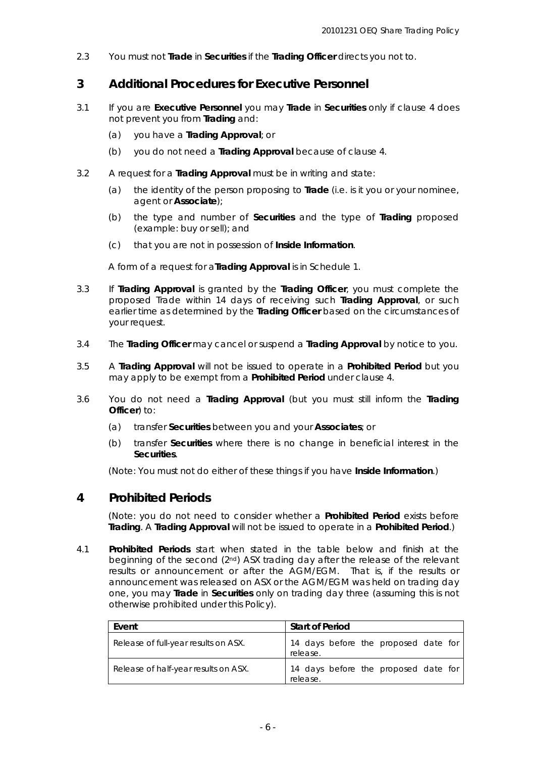2.3 You must not *Trade* in *Securities* if the *Trading Officer* directs you not to.

## **3 Additional Procedures for Executive Personnel**

- 3.1 If you are *Executive Personnel* you may *Trade* in *Securities* only if clause 4 does not prevent you from *Trading* and:
	- (a) you have a *Trading Approval*; or
	- (b) you do not need a *Trading Approval* because of clause 4.
- 3.2 A request for a *Trading Approval* must be in writing and state:
	- (a) the identity of the person proposing to *Trade* (i.e. is it you or your nominee, agent or *Associate*);
	- (b) the type and number of *Securities* and the type of *Trading* proposed (*example: buy or sell*); and
	- (c) that you are not in possession of *Inside Information*.

A form of a request for a*Trading Approval* is in Schedule 1.

- 3.3 If *Trading Approval* is granted by the *Trading Officer*, you must complete the proposed Trade within 14 days of receiving such *Trading Approval*, or such earlier time as determined by the *Trading Officer* based on the circumstances of your request.
- 3.4 The *Trading Officer* may cancel or suspend a *Trading Approval* by notice to you.
- 3.5 A *Trading Approval* will not be issued to operate in a *Prohibited Period* but you may apply to be exempt from a *Prohibited Period* under clause 4.
- 3.6 You *do not* need a *Trading Approval* (but you must still inform the *Trading Officer*) to:
	- (a) transfer *Securities* between you and your *Associates*; or
	- (b) transfer *Securities* where there is no change in beneficial interest in the *Securities*.

*(Note: You must not do either of these things if you have Inside Information.)* 

## **4 Prohibited Periods**

*(Note: you do not need to consider whether a Prohibited Period exists before Trading. A Trading Approval will not be issued to operate in a Prohibited Period.)* 

4.1 *Prohibited Periods* start when stated in the table below and finish at the beginning of the second (2nd) ASX trading day after the release of the relevant results or announcement or after the AGM/EGM. That is, if the results or announcement was released on ASX or the AGM/EGM was held on trading day one, you may *Trade* in *Securities* only on trading day three (assuming this is not otherwise prohibited under this Policy).

| Event                                | <b>Start of Period</b>                           |
|--------------------------------------|--------------------------------------------------|
| Release of full-year results on ASX. | 14 days before the proposed date for<br>release. |
| Release of half-year results on ASX. | 14 days before the proposed date for<br>release. |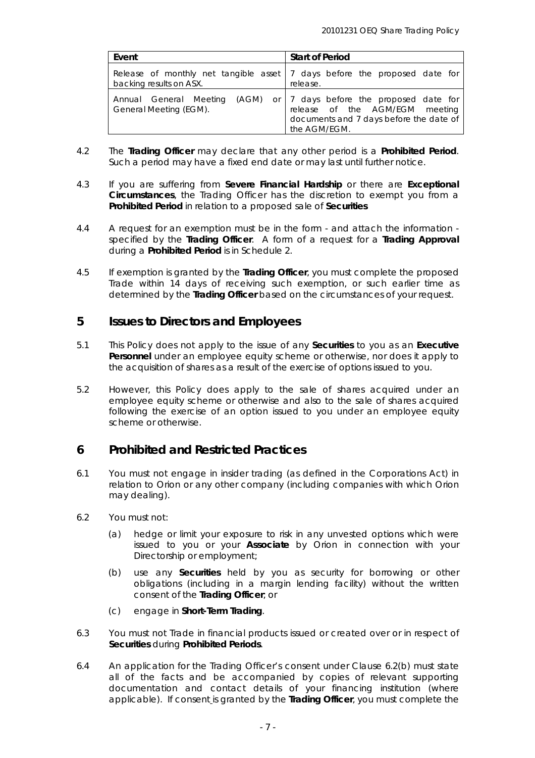| Event                   | <b>Start of Period</b>                                                                                                                                             |  |
|-------------------------|--------------------------------------------------------------------------------------------------------------------------------------------------------------------|--|
| backing results on ASX. | Release of monthly net tangible asset   7 days before the proposed date for<br>release.                                                                            |  |
| General Meeting (EGM).  | Annual General Meeting (AGM) or   7 days before the proposed date for<br>release of the AGM/EGM meeting<br>documents and 7 days before the date of<br>the AGM/EGM. |  |

- 4.2 The *Trading Officer* may declare that any other period is a *Prohibited Period*. Such a period may have a fixed end date or may last until further notice.
- 4.3 If you are suffering from *Severe Financial Hardship* or there are *Exceptional Circumstances*, the Trading Officer has the discretion to exempt you from a *Prohibited Period* in relation to a proposed sale of *Securities*
- 4.4 A request for an exemption must be in the form and attach the information specified by the *Trading Officer*. A form of a request for a *Trading Approval* during a *Prohibited Period* is in Schedule 2.
- 4.5 If exemption is granted by the *Trading Officer*, you must complete the proposed Trade within 14 days of receiving such exemption, or such earlier time as determined by the *Trading Officer* based on the circumstances of your request.

## **5 Issues to Directors and Employees**

- 5.1 This Policy does not apply to the issue of any *Securities* to you as an *Executive Personnel* under an employee equity scheme or otherwise, nor does it apply to the acquisition of shares as a result of the exercise of options issued to you.
- 5.2 However, this Policy does apply to the sale of shares acquired under an employee equity scheme or otherwise and also to the sale of shares acquired following the exercise of an option issued to you under an employee equity scheme or otherwise.

## **6 Prohibited and Restricted Practices**

- 6.1 You must not engage in insider trading (as defined in the Corporations Act) in relation to Orion or any other company (including companies with which Orion may dealing).
- 6.2 You must not:
	- (a) hedge or limit your exposure to risk in any unvested options which were issued to you or your *Associate* by Orion in connection with your Directorship or employment;
	- (b) use any *Securities* held by you as security for borrowing or other obligations (including in a margin lending facility) without the written consent of the *Trading Officer*; or
	- (c) engage in *Short-Term Trading*.
- 6.3 You must not Trade in financial products issued or created over or in respect of *Securities* during *Prohibited Periods*.
- 6.4 An application for the Trading Officer's consent under Clause 6.2(b) must state all of the facts and be accompanied by copies of relevant supporting documentation and contact details of your financing institution (where applicable). If consent is granted by the *Trading Officer*, you must complete the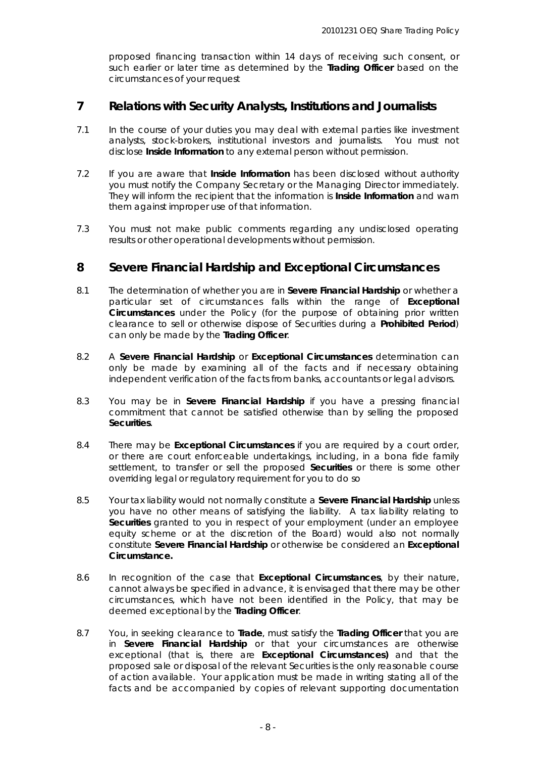proposed financing transaction within 14 days of receiving such consent, or such earlier or later time as determined by the *Trading Officer* based on the circumstances of your request

## **7 Relations with Security Analysts, Institutions and Journalists**

- 7.1 In the course of your duties you may deal with external parties like investment analysts, stock-brokers, institutional investors and journalists. You must not disclose *Inside Information* to *any* external person without permission.
- 7.2 If you are aware that *Inside Information* has been disclosed without authority you must notify the Company Secretary or the Managing Director immediately. They will inform the recipient that the information is *Inside Information* and warn them against improper use of that information.
- 7.3 You must not make public comments regarding any undisclosed operating results or other operational developments without permission.

### **8 Severe Financial Hardship and Exceptional Circumstances**

- 8.1 The determination of whether you are in *Severe Financial Hardship* or whether a particular set of circumstances falls within the range of *Exceptional Circumstances* under the Policy (for the purpose of obtaining prior written clearance to sell or otherwise dispose of Securities during a *Prohibited Period*) can only be made by the *Trading Officer*.
- 8.2 A *Severe Financial Hardship* or *Exceptional Circumstances* determination can only be made by examining all of the facts and if necessary obtaining independent verification of the facts from banks, accountants or legal advisors.
- 8.3 You may be in *Severe Financial Hardship* if you have a pressing financial commitment that cannot be satisfied otherwise than by selling the proposed *Securities*.
- 8.4 There may be *Exceptional Circumstances* if you are required by a court order, or there are court enforceable undertakings, including, in a bona fide family settlement, to transfer or sell the proposed *Securities* or there is some other overriding legal or regulatory requirement for you to do so
- 8.5 Your tax liability would not normally constitute a *Severe Financial Hardship* unless you have no other means of satisfying the liability. A tax liability relating to *Securities* granted to you in respect of your employment (under an employee equity scheme or at the discretion of the Board) would also not normally constitute *Severe Financial Hardship* or otherwise be considered an *Exceptional Circumstance.*
- 8.6 In recognition of the case that *Exceptional Circumstances*, by their nature, cannot always be specified in advance, it is envisaged that there may be other circumstances, which have not been identified in the Policy, that may be deemed exceptional by the *Trading Officer*.
- 8.7 You, in seeking clearance to *Trade*, must satisfy the *Trading Officer* that you are in *Severe Financial Hardship* or that your circumstances are otherwise exceptional (that is, there are *Exceptional Circumstances)* and that the proposed sale or disposal of the relevant Securities is the only reasonable course of action available. Your application must be made in writing stating all of the facts and be accompanied by copies of relevant supporting documentation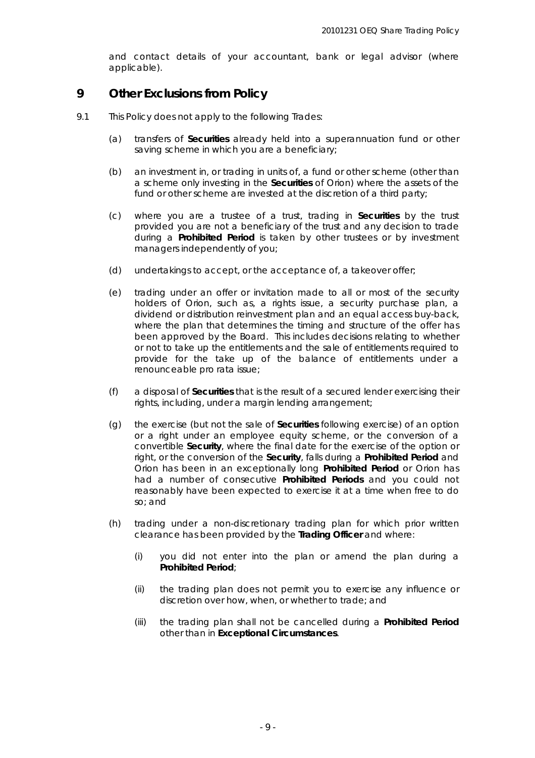and contact details of your accountant, bank or legal advisor (where applicable).

### **9 Other Exclusions from Policy**

- 9.1 This Policy does not apply to the following Trades:
	- (a) transfers of *Securities* already held into a superannuation fund or other saving scheme in which you are a beneficiary;
	- (b) an investment in, or trading in units of, a fund or other scheme (other than a scheme only investing in the *Securities* of Orion) where the assets of the fund or other scheme are invested at the discretion of a third party;
	- (c) where you are a trustee of a trust, trading in *Securities* by the trust provided you are not a beneficiary of the trust and any decision to trade during a *Prohibited Period* is taken by other trustees or by investment managers independently of you;
	- (d) undertakings to accept, or the acceptance of, a takeover offer;
	- (e) trading under an offer or invitation made to all or most of the security holders of Orion, such as, a rights issue, a security purchase plan, a dividend or distribution reinvestment plan and an equal access buy-back, where the plan that determines the timing and structure of the offer has been approved by the Board. This includes decisions relating to whether or not to take up the entitlements and the sale of entitlements required to provide for the take up of the balance of entitlements under a renounceable pro rata issue;
	- (f) a disposal of *Securities* that is the result of a secured lender exercising their rights, including, under a margin lending arrangement;
	- (g) the exercise (but not the sale of *Securities* following exercise) of an option or a right under an employee equity scheme, or the conversion of a convertible *Security*, where the final date for the exercise of the option or right, or the conversion of the *Security*, falls during a *Prohibited Period* and Orion has been in an exceptionally long *Prohibited Period* or Orion has had a number of consecutive *Prohibited Periods* and you could not reasonably have been expected to exercise it at a time when free to do so; and
	- (h) trading under a non-discretionary trading plan for which prior written clearance has been provided by the *Trading Officer* and where:
		- (i) you did not enter into the plan or amend the plan during a *Prohibited Period*;
		- (ii) the trading plan does not permit you to exercise any influence or discretion over how, when, or whether to trade; and
		- (iii) the trading plan shall not be cancelled during a *Prohibited Period* other than in *Exceptional Circumstances*.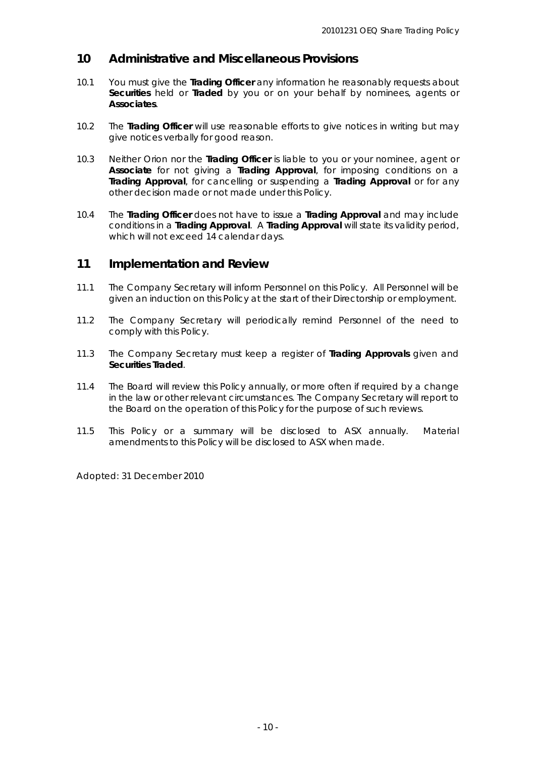### **10 Administrative and Miscellaneous Provisions**

- 10.1 You must give the *Trading Officer* any information he reasonably requests about *Securities* held or *Traded* by you or on your behalf by nominees, agents or *Associates*.
- 10.2 The *Trading Officer* will use reasonable efforts to give notices in writing but may give notices verbally for good reason.
- 10.3 Neither Orion nor the *Trading Officer* is liable to you or your nominee, agent or *Associate* for not giving a *Trading Approval*, for imposing conditions on a *Trading Approval*, for cancelling or suspending a *Trading Approval* or for any other decision made or not made under this Policy.
- 10.4 The *Trading Officer* does not have to issue a *Trading Approval* and may include conditions in a *Trading Approval*. A *Trading Approval* will state its validity period, which will not exceed 14 calendar days.

### **11 Implementation and Review**

- 11.1 The Company Secretary will inform Personnel on this Policy. All Personnel will be given an induction on this Policy at the start of their Directorship or employment.
- 11.2 The Company Secretary will periodically remind Personnel of the need to comply with this Policy.
- 11.3 The Company Secretary must keep a register of *Trading Approvals* given and *Securities Traded*.
- 11.4 The Board will review this Policy annually, or more often if required by a change in the law or other relevant circumstances. The Company Secretary will report to the Board on the operation of this Policy for the purpose of such reviews.
- 11.5 This Policy or a summary will be disclosed to ASX annually. Material amendments to this Policy will be disclosed to ASX when made.

*Adopted: 31 December 2010*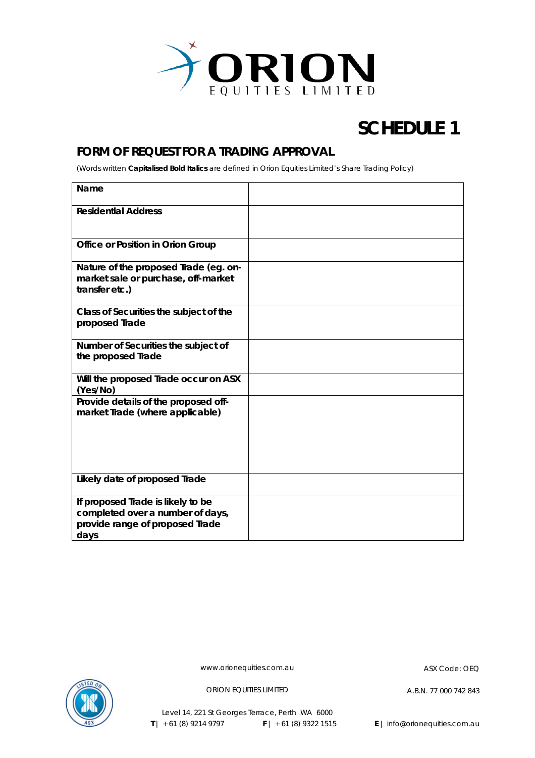

## **SCHEDULE 1**

## **FORM OF REQUEST FOR A TRADING APPROVAL**

(Words written *Capitalised Bold Italics* are defined in Orion Equities Limited's Share Trading Policy)

| Name                                                                                                                    |  |
|-------------------------------------------------------------------------------------------------------------------------|--|
| <b>Residential Address</b>                                                                                              |  |
| <b>Office or Position in Orion Group</b>                                                                                |  |
| Nature of the proposed Trade (eg. on-<br>market sale or purchase, off-market<br>transfer etc.)                          |  |
| Class of Securities the subject of the<br>proposed Trade                                                                |  |
| Number of Securities the subject of<br>the proposed Trade                                                               |  |
| Will the proposed Trade occur on ASX<br>(Yes/No)                                                                        |  |
| Provide details of the proposed off-<br>market Trade (where applicable)                                                 |  |
| Likely date of proposed Trade                                                                                           |  |
| If proposed <i>Trade</i> is likely to be<br>completed over a number of days,<br>provide range of proposed Trade<br>days |  |



www.orionequities.com.au ASX Code: OEQ

ORION EQUITIES LIMITED A.B.N. 77 000 742 843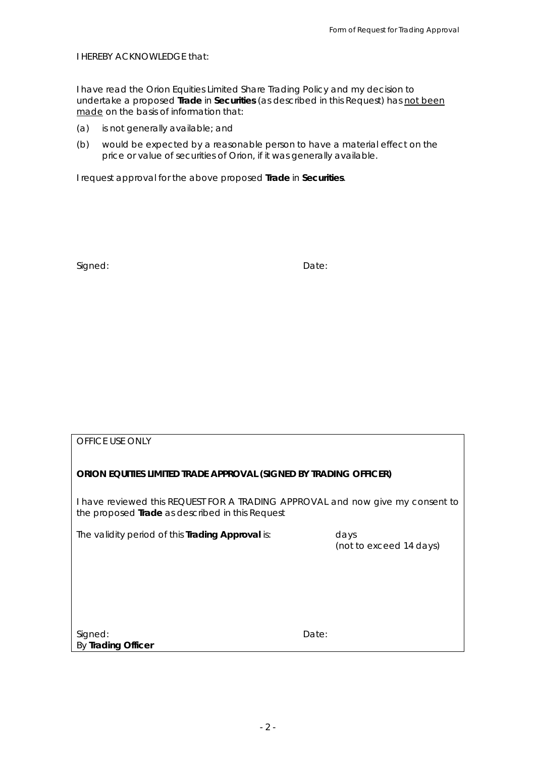*I HEREBY ACKNOWLEDGE that:* 

*I have read the Orion Equities Limited Share Trading Policy and my decision to undertake a proposed Trade in Securities (as described in this Request) has not been made on the basis of information that:* 

- *(a) is not generally available; and*
- *(b) would be expected by a reasonable person to have a material effect on the price or value of securities of Orion, if it was generally available.*

*I request approval for the above proposed Trade in Securities.* 

Signed: **Date:** Date: **Date:** Date: **Date: Date: Date: Date: Date: Date: Date: Date: Date: Date: Date: Date: Date: Date: Date: Date: Date: Date: Date: Date: Date: Date: Date: D** 

*OFFICE USE ONLY* 

#### **ORION EQUITIES LIMITED TRADE APPROVAL (SIGNED BY TRADING OFFICER)**

I have reviewed this REQUEST FOR A TRADING APPROVAL and now give my consent to the proposed *Trade* as described in this Request

The validity period of this *Trading Approval* is: days

*(not to exceed 14 days)*

Signed: **Date:** Date: **Date: Date: Date: Date: Date: Date: Date: Date: Date: Date: Date: Date: Date: Date: Date: Date: Date: Date: Date: Date: Date: Date: Date: Date: Date:** By *Trading Officer*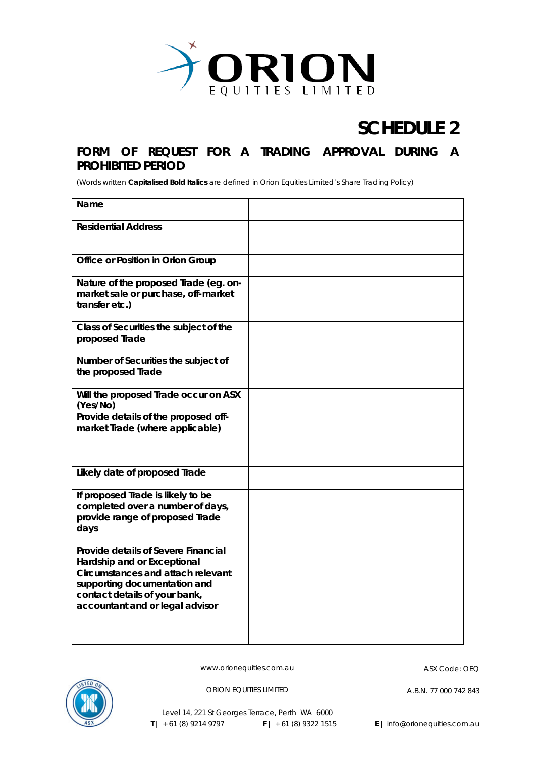

## **SCHEDULE 2**

## **FORM OF REQUEST FOR A TRADING APPROVAL DURING A PROHIBITED PERIOD**

(Words written *Capitalised Bold Italics* are defined in Orion Equities Limited's Share Trading Policy)

| Name                                                                                                                                                                                                        |  |
|-------------------------------------------------------------------------------------------------------------------------------------------------------------------------------------------------------------|--|
| <b>Residential Address</b>                                                                                                                                                                                  |  |
| Office or Position in Orion Group                                                                                                                                                                           |  |
| Nature of the proposed Trade (eg. on-<br>market sale or purchase, off-market<br>transfer etc.)                                                                                                              |  |
| Class of Securities the subject of the<br>proposed Trade                                                                                                                                                    |  |
| Number of Securities the subject of<br>the proposed Trade                                                                                                                                                   |  |
| Will the proposed Trade occur on ASX<br>(Yes/No)                                                                                                                                                            |  |
| Provide details of the proposed off-<br>market Trade (where applicable)                                                                                                                                     |  |
| Likely date of proposed Trade                                                                                                                                                                               |  |
| If proposed Trade is likely to be<br>completed over a number of days,<br>provide range of proposed Trade<br>days                                                                                            |  |
| Provide details of Severe Financial<br>Hardship and or Exceptional<br>Circumstances and attach relevant<br>supporting documentation and<br>contact details of your bank,<br>accountant and or legal advisor |  |



www.orionequities.com.au ASX Code: OEQ

ORION EQUITIES LIMITED A.B.N. 77 000 742 843